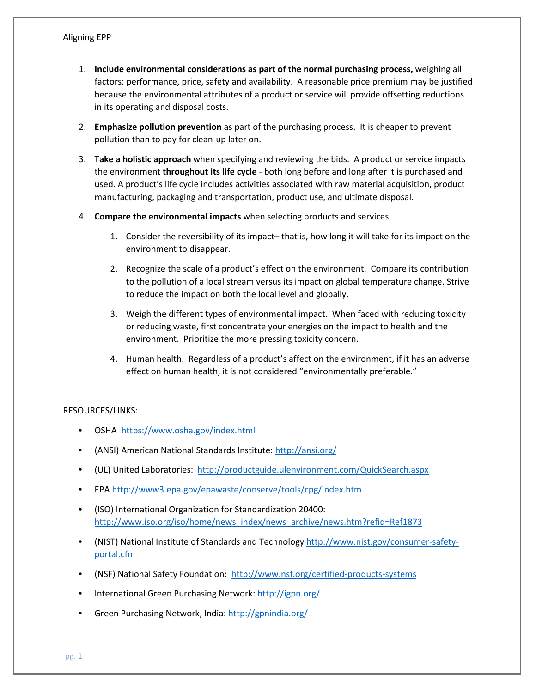- 1. **Include environmental considerations as part of the normal purchasing process,** weighing all factors: performance, price, safety and availability. A reasonable price premium may be justified because the environmental attributes of a product or service will provide offsetting reductions in its operating and disposal costs.
- 2. **Emphasize pollution prevention** as part of the purchasing process. It is cheaper to prevent pollution than to pay for clean-up later on.
- 3. **Take a holistic approach** when specifying and reviewing the bids. A product or service impacts the environment **throughout its life cycle** - both long before and long after it is purchased and used. A product's life cycle includes activities associated with raw material acquisition, product manufacturing, packaging and transportation, product use, and ultimate disposal.
- 4. **Compare the environmental impacts** when selecting products and services.
	- 1. Consider the reversibility of its impact– that is, how long it will take for its impact on the environment to disappear.
	- 2. Recognize the scale of a product's effect on the environment. Compare its contribution to the pollution of a local stream versus its impact on global temperature change. Strive to reduce the impact on both the local level and globally.
	- 3. Weigh the different types of environmental impact. When faced with reducing toxicity or reducing waste, first concentrate your energies on the impact to health and the environment. Prioritize the more pressing toxicity concern.
	- 4. Human health. Regardless of a product's affect on the environment, if it has an adverse effect on human health, it is not considered "environmentally preferable."

## RESOURCES/LINKS:

- OSHA<https://www.osha.gov/index.html>
- (ANSI) American National Standards Institute:<http://ansi.org/>
- (UL) United Laboratories:<http://productguide.ulenvironment.com/QuickSearch.aspx>
- EPA<http://www3.epa.gov/epawaste/conserve/tools/cpg/index.htm>
- (ISO) International Organization for Standardization 20400: [http://www.iso.org/iso/home/news\\_index/news\\_archive/news.htm?refid=Ref1873](http://www.iso.org/iso/home/news_index/news_archive/news.htm?refid=Ref1873)
- (NIST) National Institute of Standards and Technology [http://www.nist.gov/consumer-safety](http://www.nist.gov/consumer-safety-portal.cfm)[portal.cfm](http://www.nist.gov/consumer-safety-portal.cfm)
- (NSF) National Safety Foundation: <http://www.nsf.org/certified-products-systems>
- International Green Purchasing Network:<http://igpn.org/>
- Green Purchasing Network, India:<http://gpnindia.org/>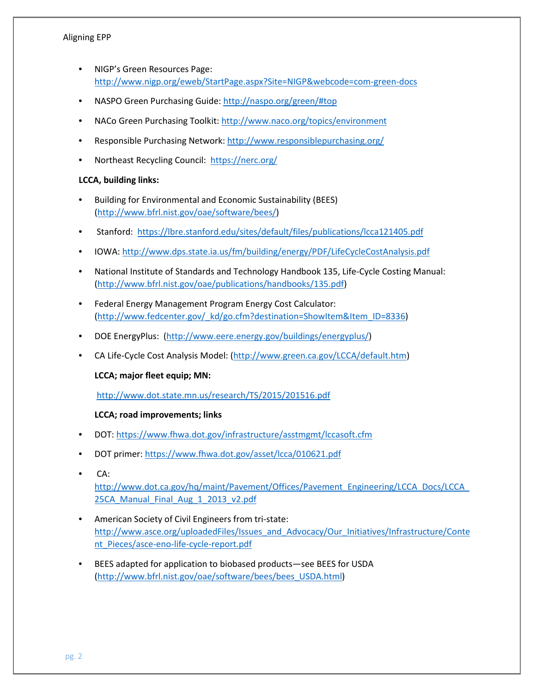- NIGP's Green Resources Page: <http://www.nigp.org/eweb/StartPage.aspx?Site=NIGP&webcode=com-green-docs>
- NASPO Green Purchasing Guide: [http://naspo.org/green/#top](http://naspo.org/green/)
- NACo Green Purchasing Toolkit:<http://www.naco.org/topics/environment>
- Responsible Purchasing Network[: http://www.responsiblepurchasing.org/](http://www.responsiblepurchasing.org/)
- Northeast Recycling Council:<https://nerc.org/>

# **LCCA, building links:**

- Building for Environmental and Economic Sustainability (BEES) [\(http://www.bfrl.nist.gov/oae/software/bees/\)](http://www.bfrl.nist.gov/oae/software/bees/)
- Stanford: <https://lbre.stanford.edu/sites/default/files/publications/lcca121405.pdf>
- IOWA[: http://www.dps.state.ia.us/fm/building/energy/PDF/LifeCycleCostAnalysis.pdf](http://www.dps.state.ia.us/fm/building/energy/PDF/LifeCycleCostAnalysis.pdf)
- National Institute of Standards and Technology Handbook 135, Life-Cycle Costing Manual: [\(http://www.bfrl.nist.gov/oae/publications/handbooks/135.pdf\)](http://www.bfrl.nist.gov/oae/publications/handbooks/135.pdf)
- Federal Energy Management Program Energy Cost Calculator: [\(http://www.fedcenter.gov/\\_kd/go.cfm?destination=ShowItem&Item\\_ID=8336\)](http://www.fedcenter.gov/_kd/go.cfm?destination=ShowItem&Item_ID=8336)
- DOE EnergyPlus: [\(http://www.eere.energy.gov/buildings/energyplus/\)](http://www.eere.energy.gov/buildings/energyplus/)
- CA Life-Cycle Cost Analysis Model: [\(http://www.green.ca.gov/LCCA/default.htm\)](http://www.green.ca.gov/LCCA/default.htm)

## **LCCA; major fleet equip; MN:**

<http://www.dot.state.mn.us/research/TS/2015/201516.pdf>

## **LCCA; road improvements; links**

- DOT:<https://www.fhwa.dot.gov/infrastructure/asstmgmt/lccasoft.cfm>
- DOT primer[: https://www.fhwa.dot.gov/asset/lcca/010621.pdf](https://www.fhwa.dot.gov/asset/lcca/010621.pdf)
- $CA:$

[http://www.dot.ca.gov/hq/maint/Pavement/Offices/Pavement\\_Engineering/LCCA\\_Docs/LCCA\\_](http://www.dot.ca.gov/hq/maint/Pavement/Offices/Pavement_Engineering/LCCA_Docs/LCCA_25CA_Manual_Final_Aug_1_2013_v2.pdf) [25CA\\_Manual\\_Final\\_Aug\\_1\\_2013\\_v2.pdf](http://www.dot.ca.gov/hq/maint/Pavement/Offices/Pavement_Engineering/LCCA_Docs/LCCA_25CA_Manual_Final_Aug_1_2013_v2.pdf)

- American Society of Civil Engineers from tri-state: [http://www.asce.org/uploadedFiles/Issues\\_and\\_Advocacy/Our\\_Initiatives/Infrastructure/Conte](http://www.asce.org/uploadedFiles/Issues_and_Advocacy/Our_Initiatives/Infrastructure/Content_Pieces/asce-eno-life-cycle-report.pdf) [nt\\_Pieces/asce-eno-life-cycle-report.pdf](http://www.asce.org/uploadedFiles/Issues_and_Advocacy/Our_Initiatives/Infrastructure/Content_Pieces/asce-eno-life-cycle-report.pdf)
- BEES adapted for application to biobased products—see BEES for USDA [\(http://www.bfrl.nist.gov/oae/software/bees/bees\\_USDA.html\)](http://www.bfrl.nist.gov/oae/software/bees/bees_USDA.html)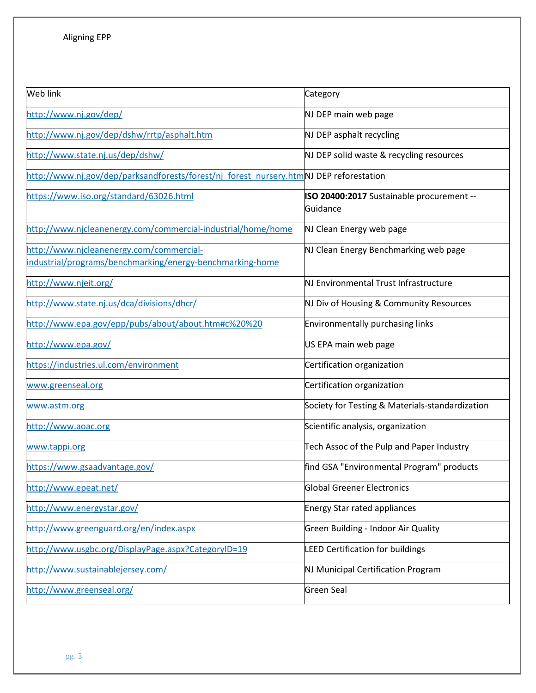| Web link                                                                                              | Category                                              |  |  |
|-------------------------------------------------------------------------------------------------------|-------------------------------------------------------|--|--|
| http://www.nj.gov/dep/                                                                                | NJ DEP main web page                                  |  |  |
| http://www.nj.gov/dep/dshw/rrtp/asphalt.htm                                                           | NJ DEP asphalt recycling                              |  |  |
| http://www.state.nj.us/dep/dshw/                                                                      | NJ DEP solid waste & recycling resources              |  |  |
| http://www.nj.gov/dep/parksandforests/forest/nj forest nursery.htmNJ DEP reforestation                |                                                       |  |  |
| https://www.iso.org/standard/63026.html                                                               | ISO 20400:2017 Sustainable procurement --<br>Guidance |  |  |
| http://www.njcleanenergy.com/commercial-industrial/home/home                                          | NJ Clean Energy web page                              |  |  |
| http://www.njcleanenergy.com/commercial-<br>industrial/programs/benchmarking/energy-benchmarking-home | NJ Clean Energy Benchmarking web page                 |  |  |
| http://www.njeit.org/                                                                                 | NJ Environmental Trust Infrastructure                 |  |  |
| http://www.state.nj.us/dca/divisions/dhcr/                                                            | NJ Div of Housing & Community Resources               |  |  |
| http://www.epa.gov/epp/pubs/about/about.htm#c%20%20                                                   | Environmentally purchasing links                      |  |  |
| http://www.epa.gov/                                                                                   | US EPA main web page                                  |  |  |
| https://industries.ul.com/environment                                                                 | Certification organization                            |  |  |
| www.greenseal.org                                                                                     | Certification organization                            |  |  |
| www.astm.org                                                                                          | Society for Testing & Materials-standardization       |  |  |
| http://www.aoac.org                                                                                   | Scientific analysis, organization                     |  |  |
| www.tappi.org                                                                                         | Tech Assoc of the Pulp and Paper Industry             |  |  |
| https://www.gsaadvantage.gov/                                                                         | find GSA "Environmental Program" products             |  |  |
| http://www.epeat.net/                                                                                 | <b>Global Greener Electronics</b>                     |  |  |
| http://www.energystar.gov/                                                                            | <b>Energy Star rated appliances</b>                   |  |  |
| http://www.greenguard.org/en/index.aspx                                                               | Green Building - Indoor Air Quality                   |  |  |
| http://www.usgbc.org/DisplayPage.aspx?CategoryID=19                                                   | <b>LEED Certification for buildings</b>               |  |  |
| http://www.sustainablejersey.com/                                                                     | NJ Municipal Certification Program                    |  |  |
| http://www.greenseal.org/                                                                             | <b>Green Seal</b>                                     |  |  |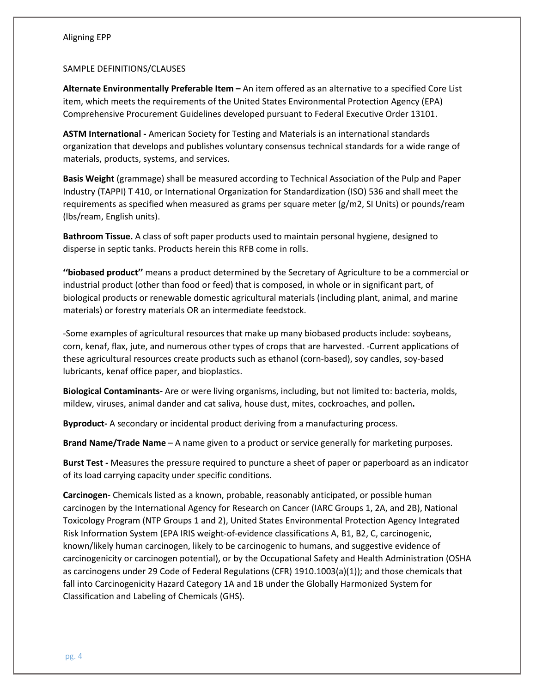#### SAMPLE DEFINITIONS/CLAUSES

**Alternate Environmentally Preferable Item –** An item offered as an alternative to a specified Core List item, which meets the requirements of the United States Environmental Protection Agency (EPA) Comprehensive Procurement Guidelines developed pursuant to Federal Executive Order 13101.

**ASTM International -** American Society for Testing and Materials is an international standards organization that develops and publishes voluntary consensus technical standards for a wide range of materials, products, systems, and services.

**Basis Weight** (grammage) shall be measured according to Technical Association of the Pulp and Paper Industry (TAPPI) T 410, or International Organization for Standardization (ISO) 536 and shall meet the requirements as specified when measured as grams per square meter (g/m2, SI Units) or pounds/ream (lbs/ream, English units).

**Bathroom Tissue.** A class of soft paper products used to maintain personal hygiene, designed to disperse in septic tanks. Products herein this RFB come in rolls.

**''biobased product''** means a product determined by the Secretary of Agriculture to be a commercial or industrial product (other than food or feed) that is composed, in whole or in significant part, of biological products or renewable domestic agricultural materials (including plant, animal, and marine materials) or forestry materials OR an intermediate feedstock.

-Some examples of agricultural resources that make up many biobased products include: soybeans, corn, kenaf, flax, jute, and numerous other types of crops that are harvested. -Current applications of these agricultural resources create products such as ethanol (corn-based), soy candles, soy-based lubricants, kenaf office paper, and bioplastics.

**Biological Contaminants-** Are or were living organisms, including, but not limited to: bacteria, molds, mildew, viruses, animal dander and cat saliva, house dust, mites, cockroaches, and pollen**.** 

**Byproduct-** A secondary or incidental product deriving from a manufacturing process.

**Brand Name/Trade Name** – A name given to a product or service generally for marketing purposes.

**Burst Test -** Measures the pressure required to puncture a sheet of paper or paperboard as an indicator of its load carrying capacity under specific conditions.

**Carcinogen**- Chemicals listed as a known, probable, reasonably anticipated, or possible human carcinogen by the International Agency for Research on Cancer (IARC Groups 1, 2A, and 2B), National Toxicology Program (NTP Groups 1 and 2), United States Environmental Protection Agency Integrated Risk Information System (EPA IRIS weight-of-evidence classifications A, B1, B2, C, carcinogenic, known/likely human carcinogen, likely to be carcinogenic to humans, and suggestive evidence of carcinogenicity or carcinogen potential), or by the Occupational Safety and Health Administration (OSHA as carcinogens under 29 Code of Federal Regulations (CFR) 1910.1003(a)(1)); and those chemicals that fall into Carcinogenicity Hazard Category 1A and 1B under the Globally Harmonized System for Classification and Labeling of Chemicals (GHS).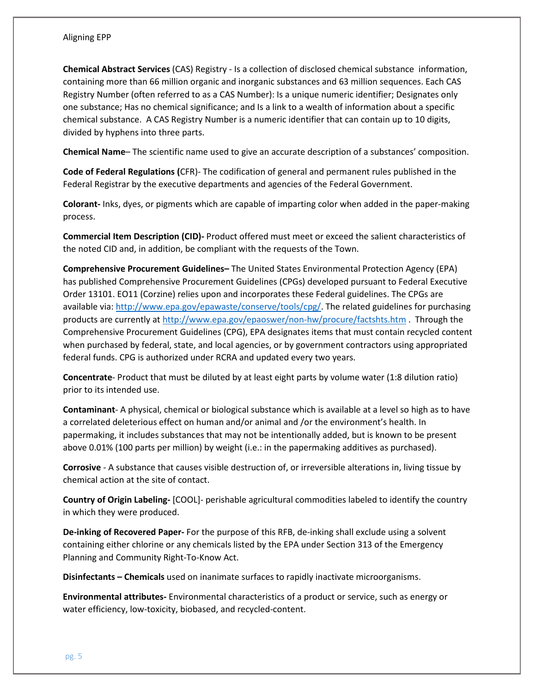**Chemical Abstract Services** (CAS) Registry - Is a collection of disclosed chemical substance information, containing more than 66 million organic and inorganic substances and 63 million sequences. Each CAS Registry Number (often referred to as a CAS Number): Is a unique numeric identifier; Designates only one substance; Has no chemical significance; and Is a link to a wealth of information about a specific chemical substance. A CAS Registry Number is a numeric identifier that can contain up to 10 digits, divided by hyphens into three parts.

**Chemical Name**– The scientific name used to give an accurate description of a substances' composition.

**Code of Federal Regulations (**CFR)- The codification of general and permanent rules published in the Federal Registrar by the executive departments and agencies of the Federal Government.

**Colorant-** Inks, dyes, or pigments which are capable of imparting color when added in the paper-making process.

**Commercial Item Description (CID)-** Product offered must meet or exceed the salient characteristics of the noted CID and, in addition, be compliant with the requests of the Town.

**Comprehensive Procurement Guidelines–** The United States Environmental Protection Agency (EPA) has published Comprehensive Procurement Guidelines (CPGs) developed pursuant to Federal Executive Order 13101. EO11 (Corzine) relies upon and incorporates these Federal guidelines. The CPGs are available via: [http://www.epa.gov/epawaste/conserve/tools/cpg/.](http://www.epa.gov/epawaste/conserve/tools/cpg/) The related guidelines for purchasing products are currently a[t http://www.epa.gov/epaoswer/non-hw/procure/factshts.htm](http://www.epa.gov/epaoswer/non-hw/procure/factshts.htm) . Through the Comprehensive Procurement Guidelines (CPG), EPA designates items that must contain recycled content when purchased by federal, state, and local agencies, or by government contractors using appropriated federal funds. CPG is authorized under RCRA and updated every two years.

**Concentrate**- Product that must be diluted by at least eight parts by volume water (1:8 dilution ratio) prior to its intended use.

**Contaminant**- A physical, chemical or biological substance which is available at a level so high as to have a correlated deleterious effect on human and/or animal and /or the environment's health. In papermaking, it includes substances that may not be intentionally added, but is known to be present above 0.01% (100 parts per million) by weight (i.e.: in the papermaking additives as purchased).

**Corrosive** - A substance that causes visible destruction of, or irreversible alterations in, living tissue by chemical action at the site of contact.

**Country of Origin Labeling-** [COOL]- perishable agricultural commodities labeled to identify the country in which they were produced.

**De-inking of Recovered Paper-** For the purpose of this RFB, de-inking shall exclude using a solvent containing either chlorine or any chemicals listed by the EPA under Section 313 of the Emergency Planning and Community Right-To-Know Act.

**Disinfectants – Chemicals** used on inanimate surfaces to rapidly inactivate microorganisms.

**Environmental attributes-** Environmental characteristics of a product or service, such as energy or water efficiency, low-toxicity, biobased, and recycled-content.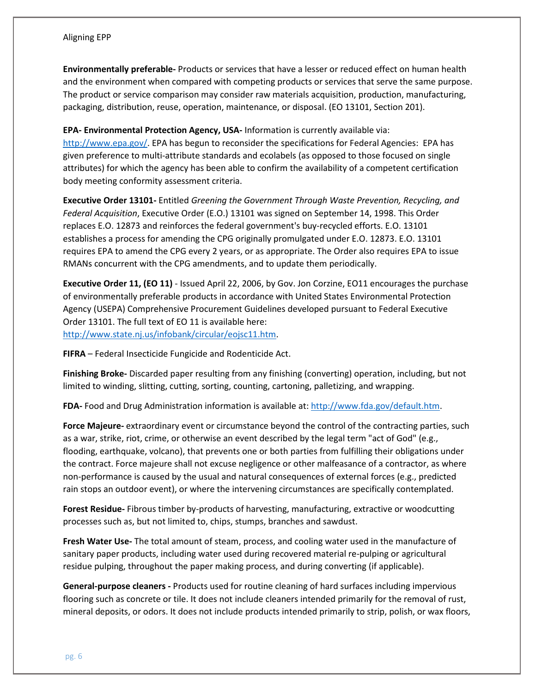**Environmentally preferable-** Products or services that have a lesser or reduced effect on human health and the environment when compared with competing products or services that serve the same purpose. The product or service comparison may consider raw materials acquisition, production, manufacturing, packaging, distribution, reuse, operation, maintenance, or disposal. (EO 13101, Section 201).

**EPA- Environmental Protection Agency, USA-** Information is currently available via:

[http://www.epa.gov/.](http://www.epa.gov/) EPA has begun to reconsider the specifications for Federal Agencies: EPA has given preference to multi-attribute standards and ecolabels (as opposed to those focused on single attributes) for which the agency has been able to confirm the availability of a competent certification body meeting conformity assessment criteria.

**Executive Order 13101-** Entitled *Greening the Government Through Waste Prevention, Recycling, and Federal Acquisition*, Executive Order (E.O.) 13101 was signed on September 14, 1998. This Order replaces E.O. 12873 and reinforces the federal government's buy-recycled efforts. E.O. 13101 establishes a process for amending the CPG originally promulgated under E.O. 12873. E.O. 13101 requires EPA to amend the CPG every 2 years, or as appropriate. The Order also requires EPA to issue RMANs concurrent with the CPG amendments, and to update them periodically.

**Executive Order 11, (EO 11)** - Issued April 22, 2006, by Gov. Jon Corzine, EO11 encourages the purchase of environmentally preferable products in accordance with United States Environmental Protection Agency (USEPA) Comprehensive Procurement Guidelines developed pursuant to Federal Executive Order 13101. The full text of EO 11 is available here: [http://www.state.nj.us/infobank/circular/eojsc11.htm.](http://www.state.nj.us/infobank/circular/eojsc11.htm)

**FIFRA** – Federal Insecticide Fungicide and Rodenticide Act.

**Finishing Broke-** Discarded paper resulting from any finishing (converting) operation, including, but not limited to winding, slitting, cutting, sorting, counting, cartoning, palletizing, and wrapping.

**FDA-** Food and Drug Administration information is available at: [http://www.fda.gov/default.htm.](http://www.fda.gov/default.htm)

**Force Majeure-** extraordinary event or circumstance beyond the control of the contracting parties, such as a war, strike, riot, crime, or otherwise an event described by the legal term "act of God" (e.g., flooding, earthquake, volcano), that prevents one or both parties from fulfilling their obligations under the contract. Force majeure shall not excuse negligence or other malfeasance of a contractor, as where non-performance is caused by the usual and natural consequences of external forces (e.g., predicted rain stops an outdoor event), or where the intervening circumstances are specifically contemplated.

**Forest Residue-** Fibrous timber by-products of harvesting, manufacturing, extractive or woodcutting processes such as, but not limited to, chips, stumps, branches and sawdust.

**Fresh Water Use-** The total amount of steam, process, and cooling water used in the manufacture of sanitary paper products, including water used during recovered material re-pulping or agricultural residue pulping, throughout the paper making process, and during converting (if applicable).

**General-purpose cleaners -** Products used for routine cleaning of hard surfaces including impervious flooring such as concrete or tile. It does not include cleaners intended primarily for the removal of rust, mineral deposits, or odors. It does not include products intended primarily to strip, polish, or wax floors,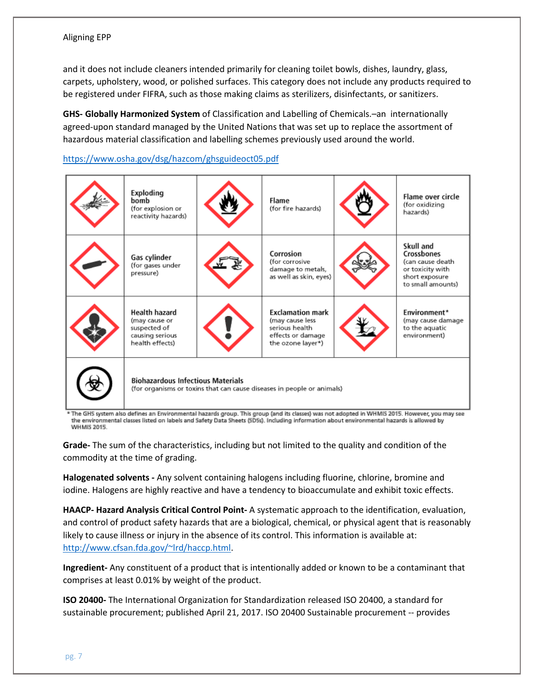and it does not include cleaners intended primarily for cleaning toilet bowls, dishes, laundry, glass, carpets, upholstery, wood, or polished surfaces. This category does not include any products required to be registered under FIFRA, such as those making claims as sterilizers, disinfectants, or sanitizers.

**GHS- Globally Harmonized System** of Classification and Labelling of Chemicals.–an internationally agreed-upon standard managed by the United Nations that was set up to replace the assortment of hazardous material classification and labelling schemes previously used around the world.

# <https://www.osha.gov/dsg/hazcom/ghsguideoct05.pdf>

| Exploding<br>bomb<br>(for explosion or<br>reactivity hazards)                        | Flame<br>(for fire hazards)                                                                            | Flame over circle<br>(for oxidizing<br>hazards)                                                        |
|--------------------------------------------------------------------------------------|--------------------------------------------------------------------------------------------------------|--------------------------------------------------------------------------------------------------------|
| Gas cylinder<br>(for gases under<br>pressure)                                        | Corrosion<br>(for corrosive<br>damage to metals,<br>as well as skin, eyes)                             | Skull and<br>Crossbones<br>(can cause death<br>or toxicity with<br>short exposure<br>to small amounts) |
| Health hazard<br>(may cause or<br>suspected of<br>causing serious<br>health effects) | <b>Exclamation mark</b><br>(may cause less<br>serious health<br>effects or damage<br>the ozone layer*) | Environment*<br>(may cause damage<br>to the aquatic<br>environment)                                    |
| <b>Biohazardous Infectious Materials</b>                                             | (for organisms or toxins that can cause diseases in people or animals)                                 |                                                                                                        |

\* The GHS system also defines an Environmental hazards group. This group (and its classes) was not adopted in WHMIS 2015. However, you may see the environmental classes listed on labels and Safety Data Sheets (SDSs). Including information about environmental hazards is allowed by WHMIS 2015.

**Grade-** The sum of the characteristics, including but not limited to the quality and condition of the commodity at the time of grading.

**Halogenated solvents -** Any solvent containing halogens including fluorine, chlorine, bromine and iodine. Halogens are highly reactive and have a tendency to bioaccumulate and exhibit toxic effects.

**HAACP- Hazard Analysis Critical Control Point-** A systematic approach to the identification, evaluation, and control of product safety hazards that are a biological, chemical, or physical agent that is reasonably likely to cause illness or injury in the absence of its control. This information is available at: [http://www.cfsan.fda.gov/~lrd/haccp.html.](http://www.cfsan.fda.gov/%7Elrd/haccp.html)

**Ingredient-** Any constituent of a product that is intentionally added or known to be a contaminant that comprises at least 0.01% by weight of the product.

**ISO 20400-** The International Organization for Standardization released ISO 20400, a standard for sustainable procurement; published April 21, 2017. ISO 20400 Sustainable procurement -- provides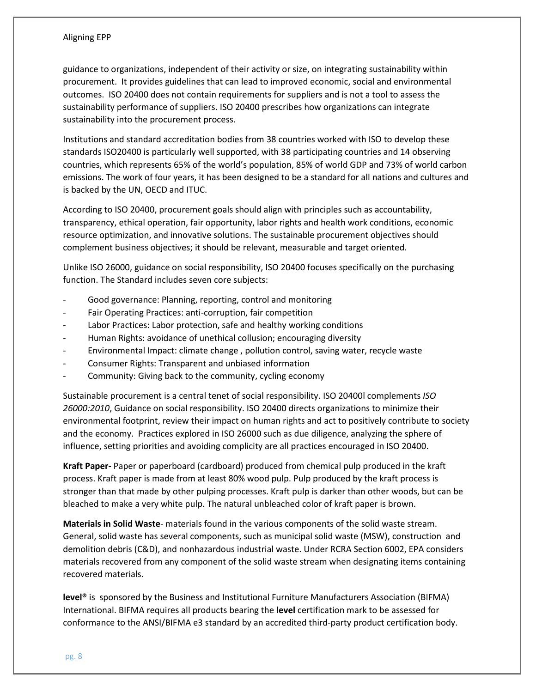guidance to organizations, independent of their activity or size, on integrating sustainability within procurement. It provides guidelines that can lead to improved economic, social and environmental outcomes. ISO 20400 does not contain requirements for suppliers and is not a tool to assess the sustainability performance of suppliers. ISO 20400 prescribes how organizations can integrate sustainability into the procurement process.

Institutions and standard accreditation bodies from 38 countries worked with ISO to develop these standards ISO20400 is particularly well supported, with 38 participating countries and 14 observing countries, which represents 65% of the world's population, 85% of world GDP and 73% of world carbon emissions. The work of four years, it has been designed to be a standard for all nations and cultures and is backed by the UN, OECD and ITUC.

According to ISO 20400, procurement goals should align with principles such as accountability, transparency, ethical operation, fair opportunity, labor rights and health work conditions, economic resource optimization, and innovative solutions. The sustainable procurement objectives should complement business objectives; it should be relevant, measurable and target oriented.

Unlike ISO 26000, guidance on social responsibility, ISO 20400 focuses specifically on the purchasing function. The Standard includes seven core subjects:

- Good governance: Planning, reporting, control and monitoring
- Fair Operating Practices: anti-corruption, fair competition
- Labor Practices: Labor protection, safe and healthy working conditions
- Human Rights: avoidance of unethical collusion; encouraging diversity
- Environmental Impact: climate change , pollution control, saving water, recycle waste
- Consumer Rights: Transparent and unbiased information
- Community: Giving back to the community, cycling economy

Sustainable procurement is a central tenet of social responsibility. ISO 20400l complements *ISO 26000:2010*, Guidance on social responsibility. ISO 20400 directs organizations to minimize their environmental footprint, review their impact on human rights and act to positively contribute to society and the economy. Practices explored in ISO 26000 such as due diligence, analyzing the sphere of influence, setting priorities and avoiding complicity are all practices encouraged in ISO 20400.

**Kraft Paper-** Paper or paperboard (cardboard) produced from chemical pulp produced in the kraft process. Kraft paper is made from at least 80% wood pulp. Pulp produced by the kraft process is stronger than that made by other pulping processes. Kraft pulp is darker than other woods, but can be bleached to make a very white pulp. The natural unbleached color of kraft paper is brown.

**Materials in Solid Waste**- materials found in the various components of the solid waste stream. General, solid waste has several components, such as municipal solid waste (MSW), construction and demolition debris (C&D), and nonhazardous industrial waste. Under RCRA Section 6002, EPA considers materials recovered from any component of the solid waste stream when designating items containing recovered materials.

**level®** is sponsored by the Business and Institutional Furniture Manufacturers Association (BIFMA) International. BIFMA requires all products bearing the **level** certification mark to be assessed for conformance to the ANSI/BIFMA e3 standard by an accredited third-party product certification body.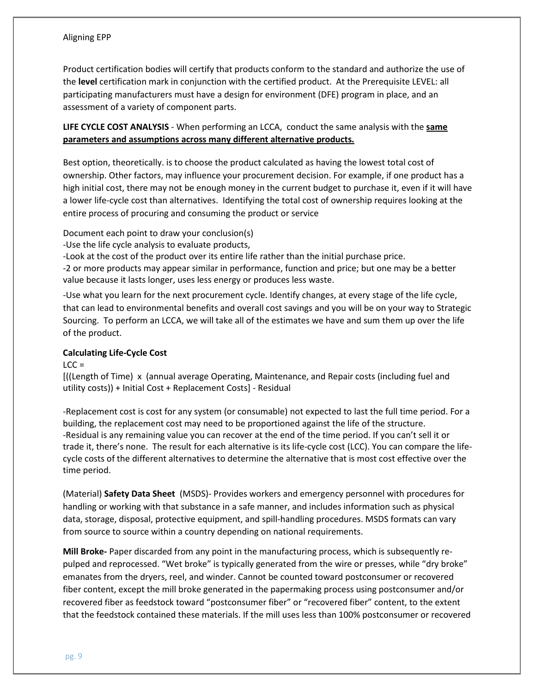Product certification bodies will certify that products conform to the standard and authorize the use of the **level** certification mark in conjunction with the certified product. At the Prerequisite LEVEL: all participating manufacturers must have a design for environment (DFE) program in place, and an assessment of a variety of component parts.

**LIFE CYCLE COST ANALYSIS** - When performing an LCCA, conduct the same analysis with the **same parameters and assumptions across many different alternative products.**

Best option, theoretically. is to choose the product calculated as having the lowest total cost of ownership. Other factors, may influence your procurement decision. For example, if one product has a high initial cost, there may not be enough money in the current budget to purchase it, even if it will have a lower life-cycle cost than alternatives. Identifying the total cost of ownership requires looking at the entire process of procuring and consuming the product or service

Document each point to draw your conclusion(s)

-Use the life cycle analysis to evaluate products,

-Look at the cost of the product over its entire life rather than the initial purchase price.

-2 or more products may appear similar in performance, function and price; but one may be a better value because it lasts longer, uses less energy or produces less waste.

-Use what you learn for the next procurement cycle. Identify changes, at every stage of the life cycle, that can lead to environmental benefits and overall cost savings and you will be on your way to Strategic Sourcing. To perform an LCCA, we will take all of the estimates we have and sum them up over the life of the product.

## **Calculating Life-Cycle Cost**

#### $LCC =$

[((Length of Time) x (annual average Operating, Maintenance, and Repair costs (including fuel and utility costs)) + Initial Cost + Replacement Costs] - Residual

-Replacement cost is cost for any system (or consumable) not expected to last the full time period. For a building, the replacement cost may need to be proportioned against the life of the structure. -Residual is any remaining value you can recover at the end of the time period. If you can't sell it or trade it, there's none. The result for each alternative is its life-cycle cost (LCC). You can compare the lifecycle costs of the different alternatives to determine the alternative that is most cost effective over the time period.

(Material) **Safety Data Sheet** (MSDS)- Provides workers and emergency personnel with procedures for handling or working with that substance in a safe manner, and includes information such as physical data, storage, disposal, protective equipment, and spill-handling procedures. MSDS formats can vary from source to source within a country depending on national requirements.

**Mill Broke-** Paper discarded from any point in the manufacturing process, which is subsequently repulped and reprocessed. "Wet broke" is typically generated from the wire or presses, while "dry broke" emanates from the dryers, reel, and winder. Cannot be counted toward postconsumer or recovered fiber content, except the mill broke generated in the papermaking process using postconsumer and/or recovered fiber as feedstock toward "postconsumer fiber" or "recovered fiber" content, to the extent that the feedstock contained these materials. If the mill uses less than 100% postconsumer or recovered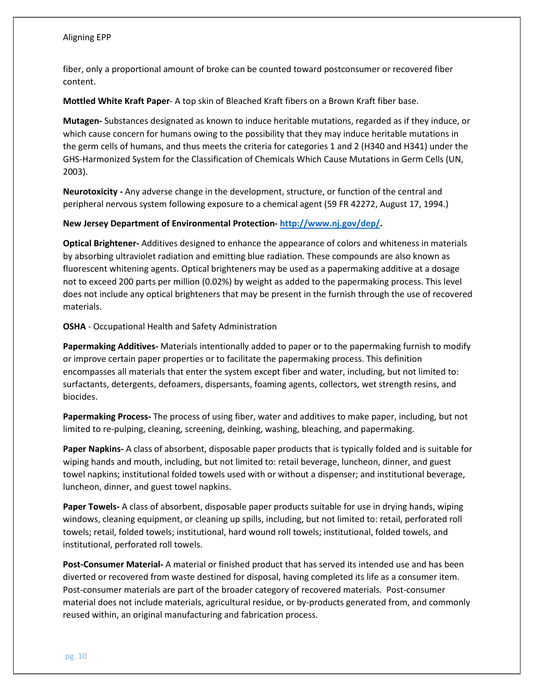fiber, only a proportional amount of broke can be counted toward postconsumer or recovered fiber content.

**Mottled White Kraft Paper**- A top skin of Bleached Kraft fibers on a Brown Kraft fiber base.

**Mutagen-** Substances designated as known to induce heritable mutations, regarded as if they induce, or which cause concern for humans owing to the possibility that they may induce heritable mutations in the germ cells of humans, and thus meets the criteria for categories 1 and 2 (H340 and H341) under the GHS-Harmonized System for the Classification of Chemicals Which Cause Mutations in Germ Cells (UN, 2003).

**Neurotoxicity -** Any adverse change in the development, structure, or function of the central and peripheral nervous system following exposure to a chemical agent (59 FR 42272, August 17, 1994.)

#### **New Jersey Department of Environmental Protection- [http://www.nj.gov/dep/.](http://www.nj.gov/dep/)**

**Optical Brightener-** Additives designed to enhance the appearance of colors and whiteness in materials by absorbing ultraviolet radiation and emitting blue radiation. These compounds are also known as fluorescent whitening agents. Optical brighteners may be used as a papermaking additive at a dosage not to exceed 200 parts per million (0.02%) by weight as added to the papermaking process. This level does not include any optical brighteners that may be present in the furnish through the use of recovered materials.

**OSHA** - Occupational Health and Safety Administration

**Papermaking Additives-** Materials intentionally added to paper or to the papermaking furnish to modify or improve certain paper properties or to facilitate the papermaking process. This definition encompasses all materials that enter the system except fiber and water, including, but not limited to: surfactants, detergents, defoamers, dispersants, foaming agents, collectors, wet strength resins, and biocides.

**Papermaking Process-** The process of using fiber, water and additives to make paper, including, but not limited to re-pulping, cleaning, screening, deinking, washing, bleaching, and papermaking.

**Paper Napkins-** A class of absorbent, disposable paper products that is typically folded and is suitable for wiping hands and mouth, including, but not limited to: retail beverage, luncheon, dinner, and guest towel napkins; institutional folded towels used with or without a dispenser; and institutional beverage, luncheon, dinner, and guest towel napkins.

**Paper Towels-** A class of absorbent, disposable paper products suitable for use in drying hands, wiping windows, cleaning equipment, or cleaning up spills, including, but not limited to: retail, perforated roll towels; retail, folded towels; institutional, hard wound roll towels; institutional, folded towels, and institutional, perforated roll towels.

**Post-Consumer Material-** A material or finished product that has served its intended use and has been diverted or recovered from waste destined for disposal, having completed its life as a consumer item. Post-consumer materials are part of the broader category of recovered materials. Post-consumer material does not include materials, agricultural residue, or by-products generated from, and commonly reused within, an original manufacturing and fabrication process.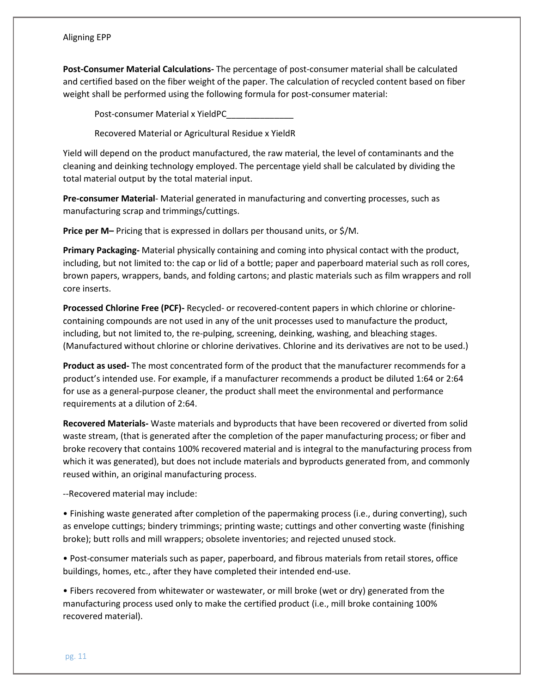**Post-Consumer Material Calculations-** The percentage of post-consumer material shall be calculated and certified based on the fiber weight of the paper. The calculation of recycled content based on fiber weight shall be performed using the following formula for post-consumer material:

Post-consumer Material x YieldPC\_\_\_\_\_\_\_\_\_\_\_\_\_\_

Recovered Material or Agricultural Residue x YieldR

Yield will depend on the product manufactured, the raw material, the level of contaminants and the cleaning and deinking technology employed. The percentage yield shall be calculated by dividing the total material output by the total material input.

**Pre-consumer Material**- Material generated in manufacturing and converting processes, such as manufacturing scrap and trimmings/cuttings.

**Price per M–** Pricing that is expressed in dollars per thousand units, or \$/M.

**Primary Packaging-** Material physically containing and coming into physical contact with the product, including, but not limited to: the cap or lid of a bottle; paper and paperboard material such as roll cores, brown papers, wrappers, bands, and folding cartons; and plastic materials such as film wrappers and roll core inserts.

**Processed Chlorine Free (PCF)-** Recycled- or recovered-content papers in which chlorine or chlorinecontaining compounds are not used in any of the unit processes used to manufacture the product, including, but not limited to, the re-pulping, screening, deinking, washing, and bleaching stages. (Manufactured without chlorine or chlorine derivatives. Chlorine and its derivatives are not to be used.)

**Product as used-** The most concentrated form of the product that the manufacturer recommends for a product's intended use. For example, if a manufacturer recommends a product be diluted 1:64 or 2:64 for use as a general-purpose cleaner, the product shall meet the environmental and performance requirements at a dilution of 2:64.

**Recovered Materials-** Waste materials and byproducts that have been recovered or diverted from solid waste stream, (that is generated after the completion of the paper manufacturing process; or fiber and broke recovery that contains 100% recovered material and is integral to the manufacturing process from which it was generated), but does not include materials and byproducts generated from, and commonly reused within, an original manufacturing process.

--Recovered material may include:

• Finishing waste generated after completion of the papermaking process (i.e., during converting), such as envelope cuttings; bindery trimmings; printing waste; cuttings and other converting waste (finishing broke); butt rolls and mill wrappers; obsolete inventories; and rejected unused stock.

• Post-consumer materials such as paper, paperboard, and fibrous materials from retail stores, office buildings, homes, etc., after they have completed their intended end-use.

• Fibers recovered from whitewater or wastewater, or mill broke (wet or dry) generated from the manufacturing process used only to make the certified product (i.e., mill broke containing 100% recovered material).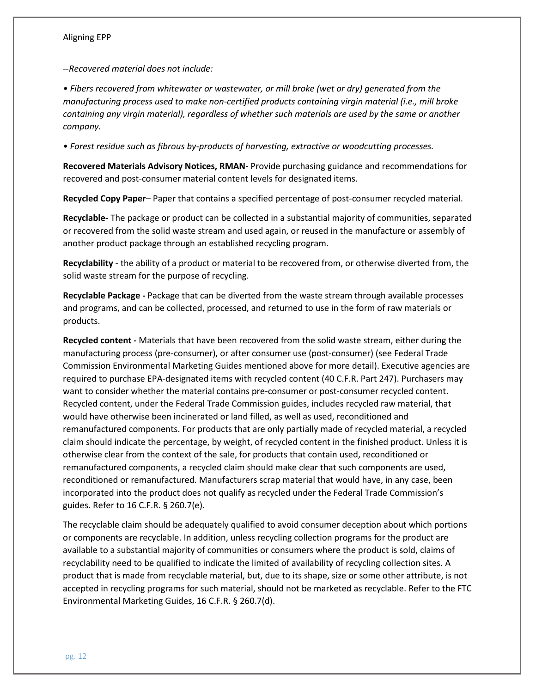*--Recovered material does not include:* 

*• Fibers recovered from whitewater or wastewater, or mill broke (wet or dry) generated from the manufacturing process used to make non-certified products containing virgin material (i.e., mill broke containing any virgin material), regardless of whether such materials are used by the same or another company.* 

*• Forest residue such as fibrous by-products of harvesting, extractive or woodcutting processes.* 

**Recovered Materials Advisory Notices, RMAN-** Provide purchasing guidance and recommendations for recovered and post-consumer material content levels for designated items.

**Recycled Copy Paper**– Paper that contains a specified percentage of post-consumer recycled material.

**Recyclable-** The package or product can be collected in a substantial majority of communities, separated or recovered from the solid waste stream and used again, or reused in the manufacture or assembly of another product package through an established recycling program.

**Recyclability** - the ability of a product or material to be recovered from, or otherwise diverted from, the solid waste stream for the purpose of recycling.

**Recyclable Package -** Package that can be diverted from the waste stream through available processes and programs, and can be collected, processed, and returned to use in the form of raw materials or products.

**Recycled content -** Materials that have been recovered from the solid waste stream, either during the manufacturing process (pre-consumer), or after consumer use (post-consumer) (see Federal Trade Commission Environmental Marketing Guides mentioned above for more detail). Executive agencies are required to purchase EPA-designated items with recycled content (40 C.F.R. Part 247). Purchasers may want to consider whether the material contains pre-consumer or post-consumer recycled content. Recycled content, under the Federal Trade Commission guides, includes recycled raw material, that would have otherwise been incinerated or land filled, as well as used, reconditioned and remanufactured components. For products that are only partially made of recycled material, a recycled claim should indicate the percentage, by weight, of recycled content in the finished product. Unless it is otherwise clear from the context of the sale, for products that contain used, reconditioned or remanufactured components, a recycled claim should make clear that such components are used, reconditioned or remanufactured. Manufacturers scrap material that would have, in any case, been incorporated into the product does not qualify as recycled under the Federal Trade Commission's guides. Refer to 16 C.F.R. § 260.7(e).

The recyclable claim should be adequately qualified to avoid consumer deception about which portions or components are recyclable. In addition, unless recycling collection programs for the product are available to a substantial majority of communities or consumers where the product is sold, claims of recyclability need to be qualified to indicate the limited of availability of recycling collection sites. A product that is made from recyclable material, but, due to its shape, size or some other attribute, is not accepted in recycling programs for such material, should not be marketed as recyclable. Refer to the FTC Environmental Marketing Guides, 16 C.F.R. § 260.7(d).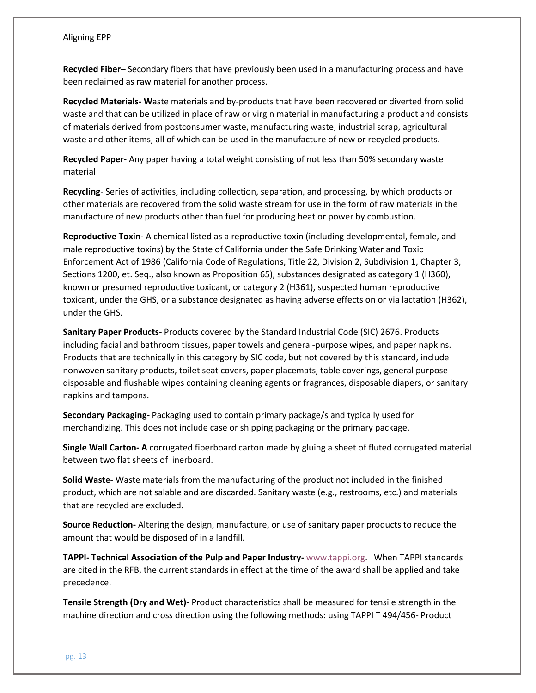**Recycled Fiber–** Secondary fibers that have previously been used in a manufacturing process and have been reclaimed as raw material for another process.

**Recycled Materials- W**aste materials and by-products that have been recovered or diverted from solid waste and that can be utilized in place of raw or virgin material in manufacturing a product and consists of materials derived from postconsumer waste, manufacturing waste, industrial scrap, agricultural waste and other items, all of which can be used in the manufacture of new or recycled products.

**Recycled Paper-** Any paper having a total weight consisting of not less than 50% secondary waste material

**Recycling**- Series of activities, including collection, separation, and processing, by which products or other materials are recovered from the solid waste stream for use in the form of raw materials in the manufacture of new products other than fuel for producing heat or power by combustion.

**Reproductive Toxin-** A chemical listed as a reproductive toxin (including developmental, female, and male reproductive toxins) by the State of California under the Safe Drinking Water and Toxic Enforcement Act of 1986 (California Code of Regulations, Title 22, Division 2, Subdivision 1, Chapter 3, Sections 1200, et. Seq., also known as Proposition 65), substances designated as category 1 (H360), known or presumed reproductive toxicant, or category 2 (H361), suspected human reproductive toxicant, under the GHS, or a substance designated as having adverse effects on or via lactation (H362), under the GHS.

**Sanitary Paper Products-** Products covered by the Standard Industrial Code (SIC) 2676. Products including facial and bathroom tissues, paper towels and general-purpose wipes, and paper napkins. Products that are technically in this category by SIC code, but not covered by this standard, include nonwoven sanitary products, toilet seat covers, paper placemats, table coverings, general purpose disposable and flushable wipes containing cleaning agents or fragrances, disposable diapers, or sanitary napkins and tampons.

**Secondary Packaging-** Packaging used to contain primary package/s and typically used for merchandizing. This does not include case or shipping packaging or the primary package.

**Single Wall Carton- A** corrugated fiberboard carton made by gluing a sheet of fluted corrugated material between two flat sheets of linerboard.

**Solid Waste-** Waste materials from the manufacturing of the product not included in the finished product, which are not salable and are discarded. Sanitary waste (e.g., restrooms, etc.) and materials that are recycled are excluded.

**Source Reduction-** Altering the design, manufacture, or use of sanitary paper products to reduce the amount that would be disposed of in a landfill.

**TAPPI- Technical Association of the Pulp and Paper Industry-** [www.tappi.org.](http://www.tappi.org/) When TAPPI standards are cited in the RFB, the current standards in effect at the time of the award shall be applied and take precedence.

**Tensile Strength (Dry and Wet)-** Product characteristics shall be measured for tensile strength in the machine direction and cross direction using the following methods: using TAPPI T 494/456- Product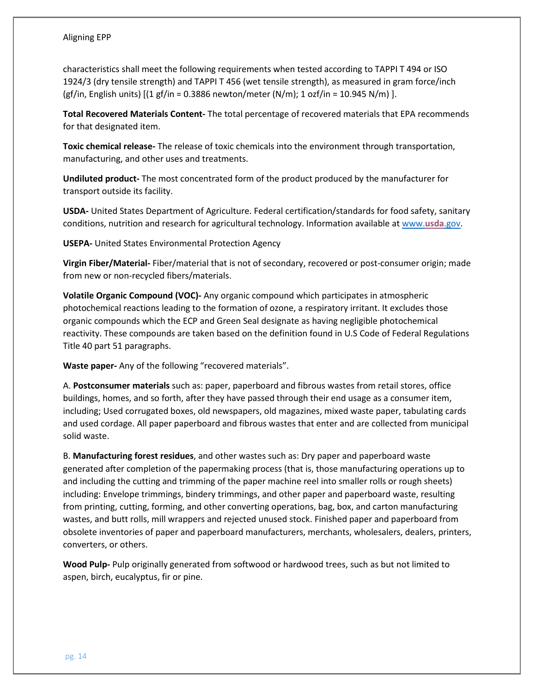characteristics shall meet the following requirements when tested according to TAPPI T 494 or ISO 1924/3 (dry tensile strength) and TAPPI T 456 (wet tensile strength), as measured in gram force/inch (gf/in, English units)  $[(1 \text{ gf/in} = 0.3886 \text{ newton/meter (N/m)}; 1 \text{ of/in} = 10.945 \text{ N/m})].$ 

**Total Recovered Materials Content-** The total percentage of recovered materials that EPA recommends for that designated item.

**Toxic chemical release-** The release of toxic chemicals into the environment through transportation, manufacturing, and other uses and treatments.

**Undiluted product-** The most concentrated form of the product produced by the manufacturer for transport outside its facility.

**USDA-** United States Department of Agriculture. Federal certification/standards for food safety, sanitary conditions, nutrition and research for agricultural technology. Information available at [www.](http://www.usda.gov/)**[usda](http://www.usda.gov/)**[.gov.](http://www.usda.gov/)

**USEPA-** United States Environmental Protection Agency

**Virgin Fiber/Material-** Fiber/material that is not of secondary, recovered or post-consumer origin; made from new or non-recycled fibers/materials.

**Volatile Organic Compound (VOC)-** Any organic compound which participates in atmospheric photochemical reactions leading to the formation of ozone, a respiratory irritant. It excludes those organic compounds which the ECP and Green Seal designate as having negligible photochemical reactivity. These compounds are taken based on the definition found in U.S Code of Federal Regulations Title 40 part 51 paragraphs.

**Waste paper-** Any of the following "recovered materials".

A. **Postconsumer materials** such as: paper, paperboard and fibrous wastes from retail stores, office buildings, homes, and so forth, after they have passed through their end usage as a consumer item, including; Used corrugated boxes, old newspapers, old magazines, mixed waste paper, tabulating cards and used cordage. All paper paperboard and fibrous wastes that enter and are collected from municipal solid waste.

B. **Manufacturing forest residues**, and other wastes such as: Dry paper and paperboard waste generated after completion of the papermaking process (that is, those manufacturing operations up to and including the cutting and trimming of the paper machine reel into smaller rolls or rough sheets) including: Envelope trimmings, bindery trimmings, and other paper and paperboard waste, resulting from printing, cutting, forming, and other converting operations, bag, box, and carton manufacturing wastes, and butt rolls, mill wrappers and rejected unused stock. Finished paper and paperboard from obsolete inventories of paper and paperboard manufacturers, merchants, wholesalers, dealers, printers, converters, or others.

**Wood Pulp-** Pulp originally generated from softwood or hardwood trees, such as but not limited to aspen, birch, eucalyptus, fir or pine.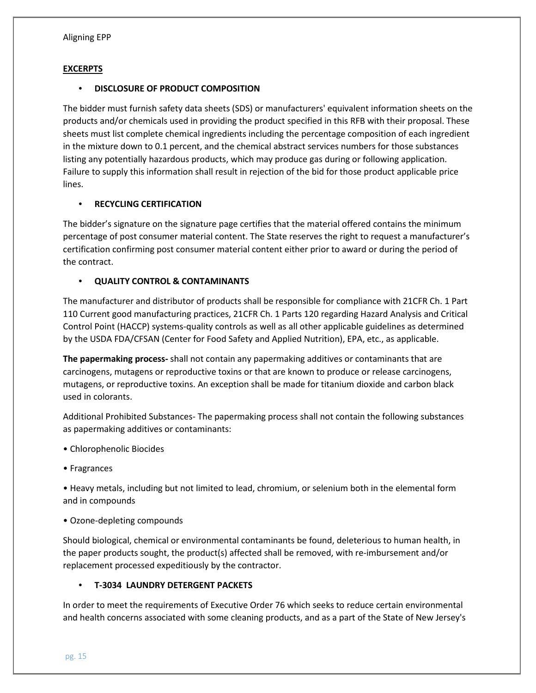### **EXCERPTS**

#### • **DISCLOSURE OF PRODUCT COMPOSITION**

The bidder must furnish safety data sheets (SDS) or manufacturers' equivalent information sheets on the products and/or chemicals used in providing the product specified in this RFB with their proposal. These sheets must list complete chemical ingredients including the percentage composition of each ingredient in the mixture down to 0.1 percent, and the chemical abstract services numbers for those substances listing any potentially hazardous products, which may produce gas during or following application. Failure to supply this information shall result in rejection of the bid for those product applicable price lines.

### • **RECYCLING CERTIFICATION**

The bidder's signature on the signature page certifies that the material offered contains the minimum percentage of post consumer material content. The State reserves the right to request a manufacturer's certification confirming post consumer material content either prior to award or during the period of the contract.

## • **QUALITY CONTROL & CONTAMINANTS**

The manufacturer and distributor of products shall be responsible for compliance with 21CFR Ch. 1 Part 110 Current good manufacturing practices, 21CFR Ch. 1 Parts 120 regarding Hazard Analysis and Critical Control Point (HACCP) systems-quality controls as well as all other applicable guidelines as determined by the USDA FDA/CFSAN (Center for Food Safety and Applied Nutrition), EPA, etc., as applicable.

**The papermaking process-** shall not contain any papermaking additives or contaminants that are carcinogens, mutagens or reproductive toxins or that are known to produce or release carcinogens, mutagens, or reproductive toxins. An exception shall be made for titanium dioxide and carbon black used in colorants.

Additional Prohibited Substances- The papermaking process shall not contain the following substances as papermaking additives or contaminants:

- Chlorophenolic Biocides
- Fragrances

• Heavy metals, including but not limited to lead, chromium, or selenium both in the elemental form and in compounds

• Ozone-depleting compounds

Should biological, chemical or environmental contaminants be found, deleterious to human health, in the paper products sought, the product(s) affected shall be removed, with re-imbursement and/or replacement processed expeditiously by the contractor.

## • **T-3034 LAUNDRY DETERGENT PACKETS**

In order to meet the requirements of Executive Order 76 which seeks to reduce certain environmental and health concerns associated with some cleaning products, and as a part of the State of New Jersey's